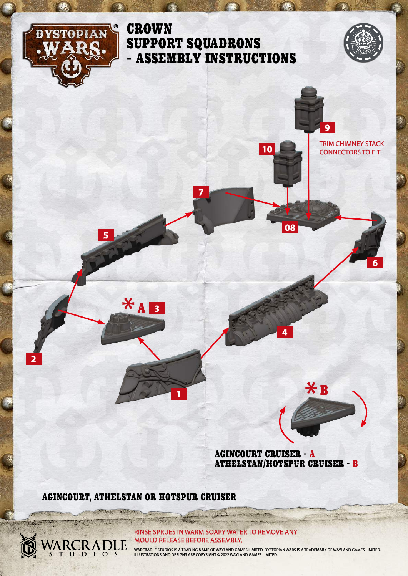

**2**

### **CROWN** SUPPORT SQUADRONS - ASSEMBLY INSTRUCTIONS

**7**



**9** TRIM CHIMNEY STACK

CONNECTORS TO FIT

**6**

AGINCOURT CRUISER - A ATHELSTAN/HOTSPUR CRUISER - B

**4**

**08**

**10**

 $*$ B

AGINCOURT, ATHELSTAN OR HOTSPUR CRUISER

*<u>District</u>* 

ARCRADLE

**1**

 $X_A$ 

**5**

**3**

RINSE SPRUES IN WARM SOAPY WATER TO REMOVE ANY MOULD RELEASE BEFORE ASSEMBLY.

WARCRADLE STUDIOS IS A TRADING NAME OF WAYLAND GAMES LIMITED. DYSTOPIAN WARS IS A TRADEMARK OF WAYLAND GAMES LIMITED.<br>ILLUSTRATIONS AND DESIGNS ARE COPYRIGHT © 2022 WAYLAND GAMES LIMITED.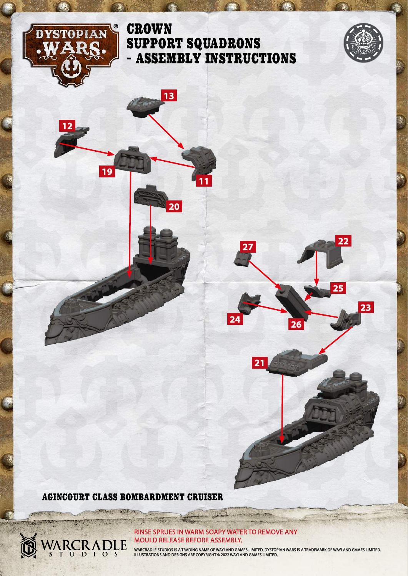

**12**

**19**

# **CROWN** SUPPORT SQUADRONS - ASSEMBLY INSTRUCTIONS

**13**

**20**

**11**



**23**

**25**

AGINCOURT CLASS BOMBARDMENT CRUISER

**Report** 

ARCRADLE

RINSE SPRUES IN WARM SOAPY WATER TO REMOVE ANY MOULD RELEASE BEFORE ASSEMBLY.

WARCRADLE STUDIOS IS A TRADING NAME OF WAYLAND GAMES LIMITED. DYSTOPIAN WARS IS A TRADEMARK OF WAYLAND GAMES LIMITED.<br>ILLUSTRATIONS AND DESIGNS ARE COPYRIGHT © 2022 WAYLAND GAMES LIMITED.

**<sup>22</sup> <sup>27</sup>**

**<sup>24</sup> <sup>26</sup>**

**21**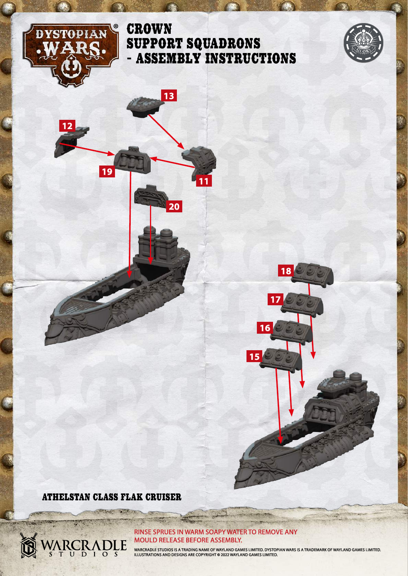

**12**

**19**

# **CROWN** SUPPORT SQUADRONS - ASSEMBLY INSTRUCTIONS

**13**

**20**

**11**



### ATHELSTAN CLASS FLAK CRUISER

2300

**CARD SPACE** 

ARCRADLE

#### RINSE SPRUES IN WARM SOAPY WATER TO REMOVE ANY MOULD RELEASE BEFORE ASSEMBLY.

WARCRADLE STUDIOS IS A TRADING NAME OF WAYLAND GAMES LIMITED. DYSTOPIAN WARS IS A TRADEMARK OF WAYLAND GAMES LIMITED.<br>ILLUSTRATIONS AND DESIGNS ARE COPYRIGHT © 2022 WAYLAND GAMES LIMITED.

**15**

**16**

**17**

**18**

S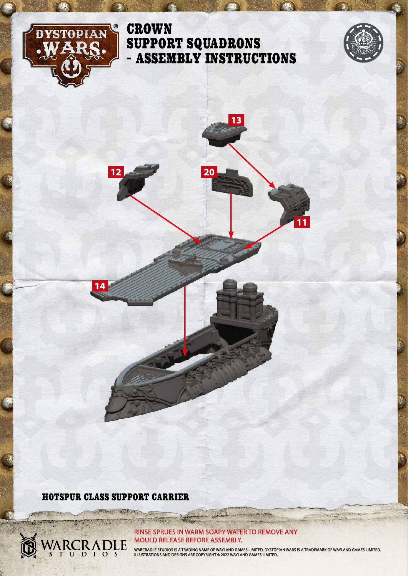

# **CROWN** SUPPORT SQUADRONS - ASSEMBLY INSTRUCTIONS



**20**

**13**

**11**

HOTSPUR CLASS SUPPORT CARRIER

**REAL** 

**ARCRADLE** 

S

**14**

**12**

#### RINSE SPRUES IN WARM SOAPY WATER TO REMOVE ANY MOULD RELEASE BEFORE ASSEMBLY.

WARCRADLE STUDIOS IS A TRADING NAME OF WAYLAND GAMES LIMITED. DYSTOPIAN WARS IS A TRADEMARK OF WAYLAND GAMES LIMITED.<br>ILLUSTRATIONS AND DESIGNS ARE COPYRIGHT © 2022 WAYLAND GAMES LIMITED.